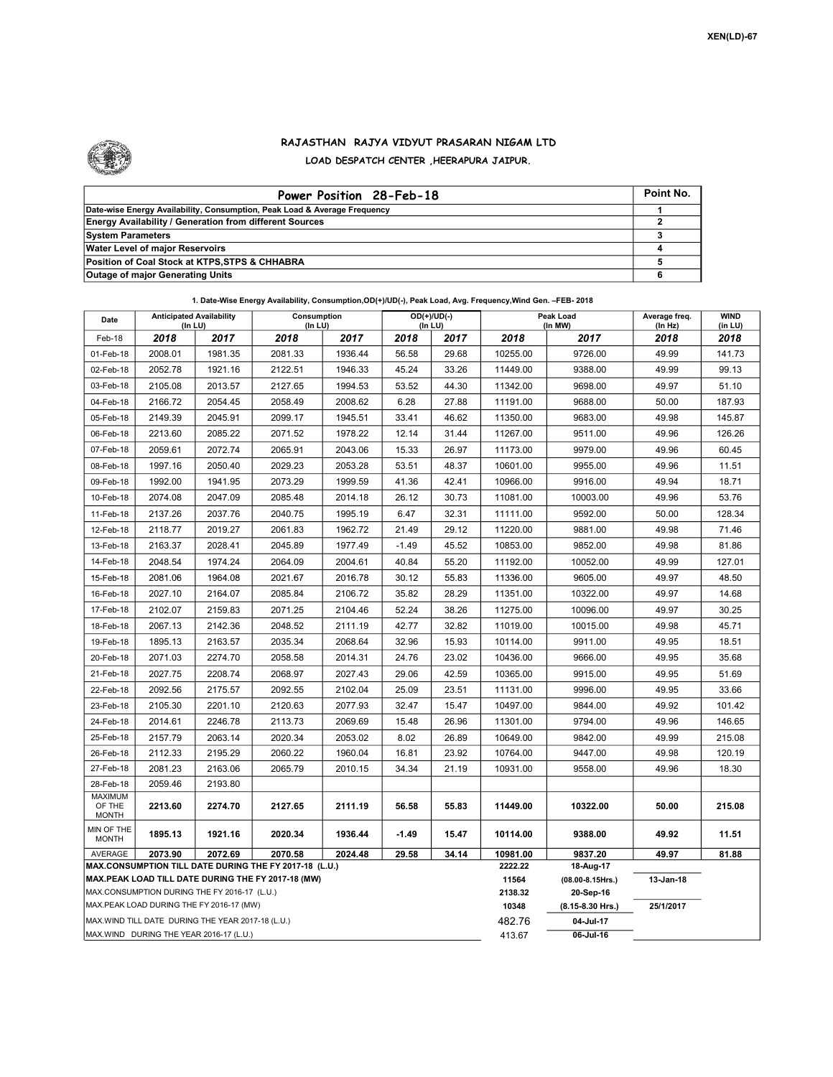

## RAJASTHAN RAJYA VIDYUT PRASARAN NIGAM LTD LOAD DESPATCH CENTER ,HEERAPURA JAIPUR.

| Power Position 28-Feb-18                                                  | Point No. |
|---------------------------------------------------------------------------|-----------|
| Date-wise Energy Availability, Consumption, Peak Load & Average Frequency |           |
| <b>Energy Availability / Generation from different Sources</b>            |           |
| <b>System Parameters</b>                                                  |           |
| <b>Water Level of major Reservoirs</b>                                    |           |
| Position of Coal Stock at KTPS, STPS & CHHABRA                            |           |
| <b>Outage of major Generating Units</b>                                   |           |

| Date                                                                                               | <b>Anticipated Availability</b><br>(In LU) |         | Consumption<br>(In LU) |         | $OD(+)/UD(-)$<br>(In LU) |       |                  | Peak Load<br>(In MW)               | Average freq.<br>(In Hz) | <b>WIND</b><br>(in LU) |
|----------------------------------------------------------------------------------------------------|--------------------------------------------|---------|------------------------|---------|--------------------------|-------|------------------|------------------------------------|--------------------------|------------------------|
| Feb-18                                                                                             | 2018                                       | 2017    | 2018                   | 2017    | 2018                     | 2017  | 2018             | 2017                               | 2018                     | 2018                   |
| 01-Feb-18                                                                                          | 2008.01                                    | 1981.35 | 2081.33                | 1936.44 | 56.58                    | 29.68 | 10255.00         | 9726.00                            | 49.99                    | 141.73                 |
| 02-Feb-18                                                                                          | 2052.78                                    | 1921.16 | 2122.51                | 1946.33 | 45.24                    | 33.26 | 11449.00         | 9388.00                            | 49.99                    | 99.13                  |
| 03-Feb-18                                                                                          | 2105.08                                    | 2013.57 | 2127.65                | 1994.53 | 53.52                    | 44.30 | 11342.00         | 9698.00                            | 49.97                    | 51.10                  |
| 04-Feb-18                                                                                          | 2166.72                                    | 2054.45 | 2058.49                | 2008.62 | 6.28                     | 27.88 | 11191.00         | 9688.00                            | 50.00                    | 187.93                 |
| 05-Feb-18                                                                                          | 2149.39                                    | 2045.91 | 2099.17                | 1945.51 | 33.41                    | 46.62 | 11350.00         | 9683.00                            | 49.98                    | 145.87                 |
| 06-Feb-18                                                                                          | 2213.60                                    | 2085.22 | 2071.52                | 1978.22 | 12.14                    | 31.44 | 11267.00         | 9511.00                            | 49.96                    | 126.26                 |
| 07-Feb-18                                                                                          | 2059.61                                    | 2072.74 | 2065.91                | 2043.06 | 15.33                    | 26.97 | 11173.00         | 9979.00                            | 49.96                    | 60.45                  |
| 08-Feb-18                                                                                          | 1997.16                                    | 2050.40 | 2029.23                | 2053.28 | 53.51                    | 48.37 | 10601.00         | 9955.00                            | 49.96                    | 11.51                  |
| 09-Feb-18                                                                                          | 1992.00                                    | 1941.95 | 2073.29                | 1999.59 | 41.36                    | 42.41 | 10966.00         | 9916.00                            | 49.94                    | 18.71                  |
| 10-Feb-18                                                                                          | 2074.08                                    | 2047.09 | 2085.48                | 2014.18 | 26.12                    | 30.73 | 11081.00         | 10003.00                           | 49.96                    | 53.76                  |
| 11-Feb-18                                                                                          | 2137.26                                    | 2037.76 | 2040.75                | 1995.19 | 6.47                     | 32.31 | 11111.00         | 9592.00                            | 50.00                    | 128.34                 |
| 12-Feb-18                                                                                          | 2118.77                                    | 2019.27 | 2061.83                | 1962.72 | 21.49                    | 29.12 | 11220.00         | 9881.00                            | 49.98                    | 71.46                  |
| 13-Feb-18                                                                                          | 2163.37                                    | 2028.41 | 2045.89                | 1977.49 | $-1.49$                  | 45.52 | 10853.00         | 9852.00                            | 49.98                    | 81.86                  |
| 14-Feb-18                                                                                          | 2048.54                                    | 1974.24 | 2064.09                | 2004.61 | 40.84                    | 55.20 | 11192.00         | 10052.00                           | 49.99                    | 127.01                 |
| 15-Feb-18                                                                                          | 2081.06                                    | 1964.08 | 2021.67                | 2016.78 | 30.12                    | 55.83 | 11336.00         | 9605.00                            | 49.97                    | 48.50                  |
| 16-Feb-18                                                                                          | 2027.10                                    | 2164.07 | 2085.84                | 2106.72 | 35.82                    | 28.29 | 11351.00         | 10322.00                           | 49.97                    | 14.68                  |
| 17-Feb-18                                                                                          | 2102.07                                    | 2159.83 | 2071.25                | 2104.46 | 52.24                    | 38.26 | 11275.00         | 10096.00                           | 49.97                    | 30.25                  |
| 18-Feb-18                                                                                          | 2067.13                                    | 2142.36 | 2048.52                | 2111.19 | 42.77                    | 32.82 | 11019.00         | 10015.00                           | 49.98                    | 45.71                  |
| 19-Feb-18                                                                                          | 1895.13                                    | 2163.57 | 2035.34                | 2068.64 | 32.96                    | 15.93 | 10114.00         | 9911.00                            | 49.95                    | 18.51                  |
| 20-Feb-18                                                                                          | 2071.03                                    | 2274.70 | 2058.58                | 2014.31 | 24.76                    | 23.02 | 10436.00         | 9666.00                            | 49.95                    | 35.68                  |
| 21-Feb-18                                                                                          | 2027.75                                    | 2208.74 | 2068.97                | 2027.43 | 29.06                    | 42.59 | 10365.00         | 9915.00                            | 49.95                    | 51.69                  |
| 22-Feb-18                                                                                          | 2092.56                                    | 2175.57 | 2092.55                | 2102.04 | 25.09                    | 23.51 | 11131.00         | 9996.00                            | 49.95                    | 33.66                  |
| 23-Feb-18                                                                                          | 2105.30                                    | 2201.10 | 2120.63                | 2077.93 | 32.47                    | 15.47 | 10497.00         | 9844.00                            | 49.92                    | 101.42                 |
| 24-Feb-18                                                                                          | 2014.61                                    | 2246.78 | 2113.73                | 2069.69 | 15.48                    | 26.96 | 11301.00         | 9794.00                            | 49.96                    | 146.65                 |
| 25-Feb-18                                                                                          | 2157.79                                    | 2063.14 | 2020.34                | 2053.02 | 8.02                     | 26.89 | 10649.00         | 9842.00                            | 49.99                    | 215.08                 |
| 26-Feb-18                                                                                          | 2112.33                                    | 2195.29 | 2060.22                | 1960.04 | 16.81                    | 23.92 | 10764.00         | 9447.00                            | 49.98                    | 120.19                 |
| 27-Feb-18                                                                                          | 2081.23                                    | 2163.06 | 2065.79                | 2010.15 | 34.34                    | 21.19 | 10931.00         | 9558.00                            | 49.96                    | 18.30                  |
| 28-Feb-18                                                                                          | 2059.46                                    | 2193.80 |                        |         |                          |       |                  |                                    |                          |                        |
| <b>MAXIMUM</b><br>OF THE<br><b>MONTH</b>                                                           | 2213.60                                    | 2274.70 | 2127.65                | 2111.19 | 56.58                    | 55.83 | 11449.00         | 10322.00                           | 50.00                    | 215.08                 |
| MIN OF THE<br><b>MONTH</b>                                                                         | 1895.13                                    | 1921.16 | 2020.34                | 1936.44 | $-1.49$                  | 15.47 | 10114.00         | 9388.00                            | 49.92                    | 11.51                  |
| AVERAGE                                                                                            | 2073.90                                    | 2072.69 | 2070.58                | 2024.48 | 29.58                    | 34.14 | 10981.00         | 9837.20                            | 49.97                    | 81.88                  |
| MAX.CONSUMPTION TILL DATE DURING THE FY 2017-18 (L.U.)                                             |                                            |         |                        |         |                          |       | 2222.22          | 18-Aug-17                          |                          |                        |
| MAX.PEAK LOAD TILL DATE DURING THE FY 2017-18 (MW)<br>MAX.CONSUMPTION DURING THE FY 2016-17 (L.U.) |                                            |         |                        |         |                          |       | 11564<br>2138.32 | $(08.00 - 8.15$ Hrs.)<br>20-Sep-16 | 13-Jan-18                |                        |
| MAX.PEAK LOAD DURING THE FY 2016-17 (MW)                                                           |                                            |         |                        |         |                          |       | 10348            | (8.15-8.30 Hrs.)                   | 25/1/2017                |                        |
| MAX. WIND TILL DATE DURING THE YEAR 2017-18 (L.U.)                                                 |                                            |         |                        |         |                          |       | 482.76           | 04-Jul-17                          |                          |                        |
| MAX.WIND DURING THE YEAR 2016-17 (L.U.)                                                            |                                            |         |                        |         |                          |       |                  | 06-Jul-16                          |                          |                        |

1. Date-Wise Energy Availability, Consumption,OD(+)/UD(-), Peak Load, Avg. Frequency,Wind Gen. –FEB- 2018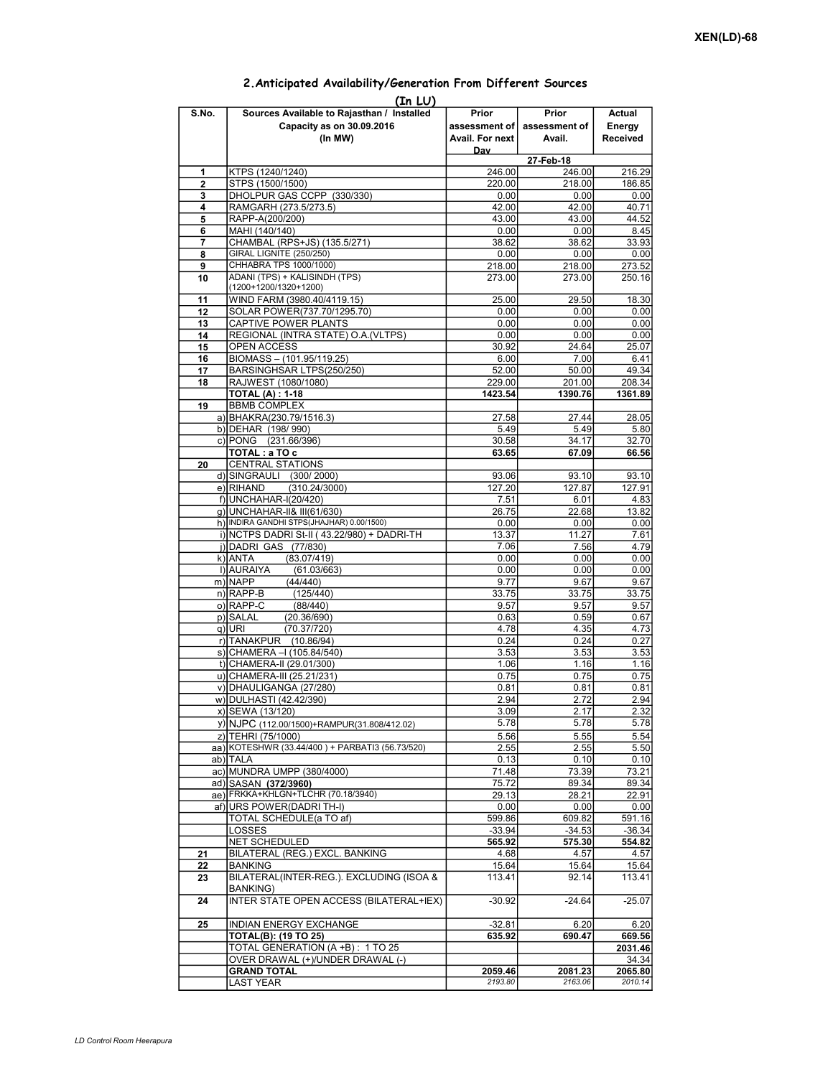|          | (In LU)                                                                            |                                           |                                  |                              |
|----------|------------------------------------------------------------------------------------|-------------------------------------------|----------------------------------|------------------------------|
| S.No.    | Sources Available to Rajasthan / Installed<br>Capacity as on 30.09.2016<br>(In MW) | Prior<br>assessment of<br>Avail. For next | Prior<br>assessment of<br>Avail. | Actual<br>Energy<br>Received |
|          |                                                                                    | Day                                       | 27-Feb-18                        |                              |
| 1        | KTPS (1240/1240)                                                                   | 246.00                                    | 246.00                           | 216.29                       |
| 2        | STPS (1500/1500)                                                                   | 220.00                                    | 218.00                           | 186.85                       |
| 3        | DHOLPUR GAS CCPP (330/330)                                                         | 0.00                                      | 0.00                             | 0.00                         |
| 4        | RAMGARH (273.5/273.5)                                                              | 42.00                                     | 42.00                            | 40.71                        |
| 5        | RAPP-A(200/200)                                                                    | 43.00                                     | 43.00                            | 44.52                        |
| 6<br>7   | MAHI (140/140)<br>CHAMBAL (RPS+JS) (135.5/271)                                     | 0.00<br>38.62                             | 0.00<br>38.62                    | 8.45<br>33.93                |
| 8        | <b>GIRAL LIGNITE (250/250)</b>                                                     | 0.00                                      | 0.00                             | 0.00                         |
| 9        | CHHABRA TPS 1000/1000)                                                             | 218.00                                    | 218.00                           | 273.52                       |
| 10       | ADANI (TPS) + KALISINDH (TPS)<br>(1200+1200/1320+1200)                             | 273.00                                    | 273.00                           | 250.16                       |
| 11       | WIND FARM (3980.40/4119.15)                                                        | 25.00                                     | 29.50                            | 18.30                        |
| 12       | SOLAR POWER(737.70/1295.70)                                                        | 0.00                                      | 0.00                             | 0.00                         |
| 13       | CAPTIVE POWER PLANTS                                                               | 0.00<br>0.00                              | 0.00<br>0.00                     | 0.00                         |
| 14<br>15 | REGIONAL (INTRA STATE) O.A. (VLTPS)<br>OPEN ACCESS                                 | 30.92                                     | 24.64                            | 0.00<br>25.07                |
| 16       | BIOMASS - (101.95/119.25)                                                          | 6.00                                      | 7.00                             | 6.41                         |
| 17       | BARSINGHSAR LTPS(250/250)                                                          | 52.00                                     | 50.00                            | 49.34                        |
| 18       | RAJWEST (1080/1080)                                                                | 229.00                                    | 201.00                           | 208.34                       |
|          | <b>TOTAL (A): 1-18</b>                                                             | 1423.54                                   | 1390.76                          | 1361.89                      |
| 19       | <b>BBMB COMPLEX</b>                                                                |                                           |                                  |                              |
|          | a) BHAKRA(230.79/1516.3)<br>b) DEHAR (198/990)                                     | 27.58<br>5.49                             | 27.44<br>5.49                    | 28.05<br>5.80                |
|          | c) PONG (231.66/396)                                                               | 30.58                                     | 34.17                            | 32.70                        |
|          | TOTAL: a TO c                                                                      | 63.65                                     | 67.09                            | 66.56                        |
| 20       | <b>CENTRAL STATIONS</b>                                                            |                                           |                                  |                              |
|          | d) SINGRAULI (300/2000)                                                            | 93.06                                     | 93.10                            | 93.10                        |
|          | e) RIHAND<br>(310.24/3000)                                                         | 127.20                                    | 127.87                           | 127.91                       |
|          | f) UNCHAHAR-I(20/420)                                                              | 7.51                                      | 6.01                             | 4.83                         |
|          | q) UNCHAHAR-II& III(61/630)<br>h) INDIRA GANDHI STPS(JHAJHAR) 0.00/1500)           | 26.75<br>0.00                             | 22.68<br>0.00                    | 13.82<br>0.00                |
|          | i) NCTPS DADRI St-II (43.22/980) + DADRI-TH                                        | 13.37                                     | 11.27                            | 7.61                         |
|          | j) DADRI GAS (77/830)                                                              | 7.06                                      | 7.56                             | 4.79                         |
|          | k) ANTA<br>(83.07/419)                                                             | 0.00                                      | 0.00                             | 0.00                         |
|          | I) AURAIYA<br>(61.03/663)                                                          | 0.00                                      | 0.00                             | 0.00                         |
|          | m) NAPP<br>(44/440)                                                                | 9.77                                      | 9.67                             | 9.67                         |
|          | $n)$ RAPP-B<br>(125/440)<br>o) RAPP-C<br>(88/440)                                  | 33.75<br>9.57                             | 33.75<br>9.57                    | 33.75<br>9.57                |
|          | p) SALAL<br>(20.36/690)                                                            | 0.63                                      | 0.59                             | 0.67                         |
|          | (70.37/720)<br>q) URI                                                              | 4.78                                      | 4.35                             | 4.73                         |
|          | r) TANAKPUR<br>(10.86/94)                                                          | 0.24                                      | 0.24                             | 0.27                         |
|          | s) CHAMERA - (105.84/540)                                                          | 3.53                                      | 3.53                             | 3.53                         |
|          | t) CHAMERA-II (29.01/300)                                                          | 1.06                                      | 1.16                             | 1.16                         |
|          | u) CHAMERA-III (25.21/231)<br>v) DHAULIGANGA (27/280)                              | 0.75<br>0.81                              | 0.75<br>0.81                     | 0.75<br>0.81                 |
|          | w) DULHASTI (42.42/390)                                                            | 2.94                                      | 2.72                             | 2.94                         |
|          | x) SEWA (13/120)                                                                   | 3.09                                      | 2.17                             | 2.32                         |
|          | y) NJPC (112.00/1500) + RAMPUR(31.808/412.02)                                      | 5.78                                      | 5.78                             | 5.78                         |
|          | z) TEHRI (75/1000)                                                                 | 5.56                                      | 5.55                             | 5.54                         |
|          | aa) KOTESHWR (33.44/400) + PARBATI3 (56.73/520)                                    | 2.55                                      | 2.55                             | 5.50                         |
|          | ab) TALA                                                                           | 0.13                                      | 0.10                             | 0.10                         |
|          | ac) MUNDRA UMPP (380/4000)<br>ad) SASAN (372/3960)                                 | 71.48<br>75.72                            | 73.39<br>89.34                   | 73.21<br>89.34               |
|          | ae) FRKKA+KHLGN+TLCHR (70.18/3940)                                                 | 29.13                                     | 28.21                            | 22.91                        |
|          | af) URS POWER (DADRI TH-I)                                                         | 0.00                                      | 0.00                             | 0.00                         |
|          | TOTAL SCHEDULE(a TO af)                                                            | 599.86                                    | 609.82                           | 591.16                       |
|          | LOSSES                                                                             | $-33.94$                                  | $-34.53$                         | $-36.34$                     |
|          | <b>NET SCHEDULED</b>                                                               | 565.92                                    | 575.30                           | 554.82                       |
| 21<br>22 | BILATERAL (REG.) EXCL. BANKING<br><b>BANKING</b>                                   | 4.68<br>15.64                             | 4.57<br>15.64                    | 4.57<br>15.64                |
| 23       | BILATERAL(INTER-REG.). EXCLUDING (ISOA &<br>BANKING)                               | 113.41                                    | 92.14                            | 113.41                       |
| 24       | INTER STATE OPEN ACCESS (BILATERAL+IEX)                                            | $-30.92$                                  | $-24.64$                         | $-25.07$                     |
| 25       | <b>INDIAN ENERGY EXCHANGE</b>                                                      | $-32.81$                                  | 6.20                             | 6.20                         |
|          | TOTAL(B): (19 TO 25)                                                               | 635.92                                    | 690.47                           | 669.56                       |
|          | TOTAL GENERATION (A +B): 1 TO 25                                                   |                                           |                                  | 2031.46                      |
|          | OVER DRAWAL (+)/UNDER DRAWAL (-)                                                   |                                           |                                  | 34.34                        |
|          | <b>GRAND TOTAL</b><br><b>LAST YEAR</b>                                             | 2059.46<br>2193.80                        | 2081.23<br>2163.06               | 2065.80<br>2010.14           |
|          |                                                                                    |                                           |                                  |                              |

## 2.Anticipated Availability/Generation From Different Sources